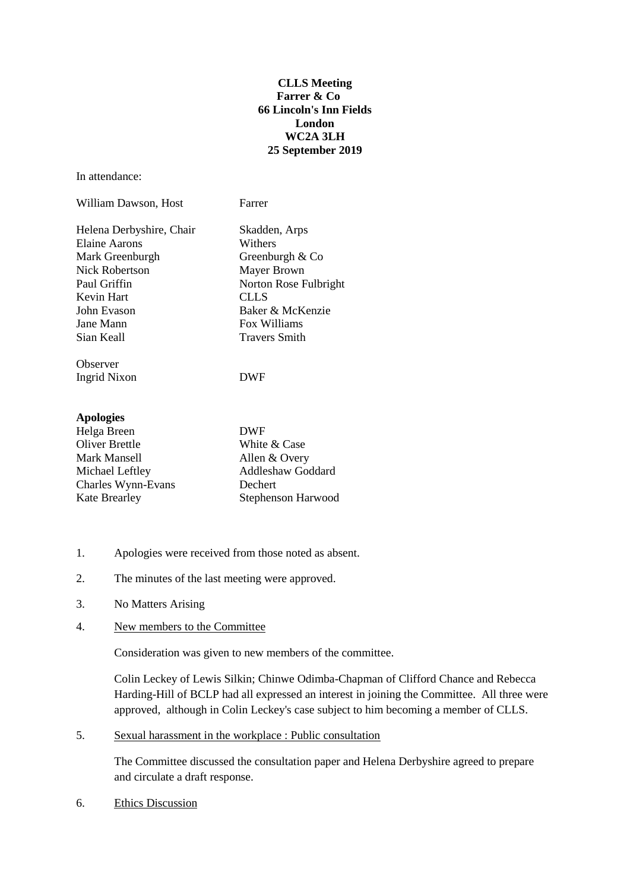## **CLLS Meeting Farrer & Co 66 Lincoln's Inn Fields London WC2A 3LH 25 September 2019**

In attendance:

| William Dawson, Host     | Farrer                |
|--------------------------|-----------------------|
| Helena Derbyshire, Chair | Skadden, Arps         |
| Elaine Aarons            | Withers               |
| Mark Greenburgh          | Greenburgh & Co       |
| Nick Robertson           | <b>Mayer Brown</b>    |
| Paul Griffin             | Norton Rose Fulbright |
| Kevin Hart               | <b>CLLS</b>           |
| John Evason              | Baker & McKenzie      |
| Jane Mann                | Fox Williams          |
| Sian Keall               | <b>Travers Smith</b>  |
| Observer                 |                       |
| Ingrid Nixon             | DWF                   |
|                          |                       |

| <b>Apologies</b> |  |  |
|------------------|--|--|
|                  |  |  |

| Helga Breen           | <b>DWF</b>               |
|-----------------------|--------------------------|
| <b>Oliver Brettle</b> | White & Case             |
| Mark Mansell          | Allen & Overy            |
| Michael Leftley       | <b>Addleshaw Goddard</b> |
| Charles Wynn-Evans    | Dechert                  |
| <b>Kate Brearley</b>  | Stephenson Harwood       |

- 1. Apologies were received from those noted as absent.
- 2. The minutes of the last meeting were approved.
- 3. No Matters Arising
- 4. New members to the Committee

Consideration was given to new members of the committee.

Colin Leckey of Lewis Silkin; Chinwe Odimba-Chapman of Clifford Chance and Rebecca Harding-Hill of BCLP had all expressed an interest in joining the Committee. All three were approved, although in Colin Leckey's case subject to him becoming a member of CLLS.

5. Sexual harassment in the workplace : Public consultation

The Committee discussed the consultation paper and Helena Derbyshire agreed to prepare and circulate a draft response.

6. Ethics Discussion